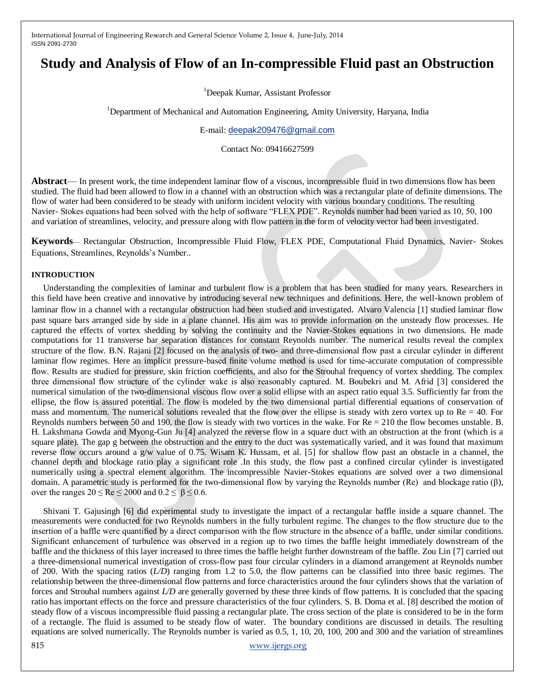# **Study and Analysis of Flow of an In-compressible Fluid past an Obstruction**

<sup>1</sup>Deepak Kumar, Assistant Professor

<sup>1</sup>Department of Mechanical and Automation Engineering, Amity University, Haryana, India

E-mail: [deepak209476@gmail.com](mailto:deepak209476@gmail.com)

Contact No: 09416627599

**Abstract**— In present work, the time independent laminar flow of a viscous, incompressible fluid in two dimensions flow has been studied. The fluid had been allowed to flow in a channel with an obstruction which was a rectangular plate of definite dimensions. The flow of water had been considered to be steady with uniform incident velocity with various boundary conditions. The resulting Navier- Stokes equations had been solved with the help of software "FLEX PDE". Reynolds number had been varied as 10, 50, 100 and variation of streamlines, velocity, and pressure along with flow pattern in the form of velocity vector had been investigated.

**Keywords**— Rectangular Obstruction, Incompressible Fluid Flow, FLEX PDE, Computational Fluid Dynamics, Navier- Stokes Equations, Streamlines, Reynolds's Number..

### **INTRODUCTION**

Understanding the complexities of laminar and turbulent flow is a problem that has been studied for many years. Researchers in this field have been creative and innovative by introducing several new techniques and definitions. Here, the well-known problem of laminar flow in a channel with a rectangular obstruction had been studied and investigated. Alvaro Valencia [1] studied laminar flow past square bars arranged side by side in a plane channel. His aim was to provide information on the unsteady flow processes. He captured the effects of vortex shedding by solving the continuity and the Navier-Stokes equations in two dimensions. He made computations for 11 transverse bar separation distances for constant Reynolds number. The numerical results reveal the complex structure of the flow. B.N. Rajani [2] focused on the analysis of two- and three-dimensional flow past a circular cylinder in different laminar flow regimes. Here an implicit pressure-based finite volume method is used for time-accurate computation of compressible flow. Results are studied for pressure, skin friction coefficients, and also for the Strouhal frequency of vortex shedding. The complex three dimensional flow structure of the cylinder wake is also reasonably captured. M. Boubekri and M. Afrid [3] considered the numerical simulation of the two-dimensional viscous flow over a solid ellipse with an aspect ratio equal 3.5. Sufficiently far from the ellipse, the flow is assured potential. The flow is modeled by the two dimensional partial differential equations of conservation of mass and momentum. The numerical solutions revealed that the flow over the ellipse is steady with zero vortex up to  $Re = 40$ . For Reynolds numbers between 50 and 190, the flow is steady with two vortices in the wake. For Re = 210 the flow becomes unstable. B. H. Lakshmana Gowda and Myong-Gun Ju [4] analyzed the reverse flow in a square duct with an obstruction at the front (which is a square plate). The gap g between the obstruction and the entry to the duct was systematically varied, and it was found that maximum reverse flow occurs around a g/w value of 0.75. Wisam K. Hussam, et al. [5] for shallow flow past an obstacle in a channel, the channel depth and blockage ratio play a significant role .In this study, the flow past a confined circular cylinder is investigated numerically using a spectral element algorithm. The incompressible Navier-Stokes equations are solved over a two dimensional domain. A parametric study is performed for the two-dimensional flow by varying the Reynolds number (Re) and blockage ratio (β), over the ranges  $20 \leq Re \leq 2000$  and  $0.2 \leq \beta \leq 0.6$ .

Shivani T. Gajusingh [6] did experimental study to investigate the impact of a rectangular baffle inside a square channel. The measurements were conducted for two Reynolds numbers in the fully turbulent regime. The changes to the flow structure due to the insertion of a baffle were quantified by a direct comparison with the flow structure in the absence of a baffle, under similar conditions. Significant enhancement of turbulence was observed in a region up to two times the baffle height immediately downstream of the baffle and the thickness of this layer increased to three times the baffle height further downstream of the baffle. Zou Lin [7] carried out a three-dimensional numerical investigation of cross-flow past four circular cylinders in a diamond arrangement at Reynolds number of 200. With the spacing ratios (*L/D*) ranging from 1.2 to 5.0, the flow patterns can be classified into three basic regimes. The relationship between the three-dimensional flow patterns and force characteristics around the four cylinders shows that the variation of forces and Strouhal numbers against *L/D* are generally governed by these three kinds of flow patterns. It is concluded that the spacing ratio has important effects on the force and pressure characteristics of the four cylinders. S. B. Doma et al. [8] described the motion of steady flow of a viscous incompressible fluid passing a rectangular plate. The cross section of the plate is considered to be in the form of a rectangle. The fluid is assumed to be steady flow of water. The boundary conditions are discussed in details. The resulting equations are solved numerically. The Reynolds number is varied as 0.5, 1, 10, 20, 100, 200 and 300 and the variation of streamlines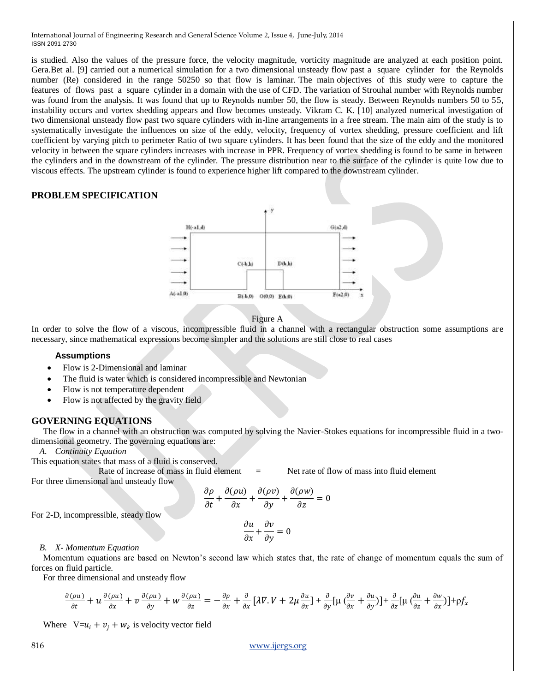is studied. Also the values of the pressure force, the velocity magnitude, vorticity magnitude are analyzed at each position point. Gera.Bet al. [9] carried out a numerical simulation for a two dimensional unsteady flow past a square cylinder for the Reynolds number (Re) considered in the range 50250 so that flow is laminar. The main objectives of this study were to capture the features of flows past a square cylinder in a domain with the use of CFD. The variation of Strouhal number with Reynolds number was found from the analysis. It was found that up to Reynolds number 50, the flow is steady. Between Reynolds numbers 50 to 55, instability occurs and vortex shedding appears and flow becomes unsteady. Vikram C. K. [10] analyzed numerical investigation of two dimensional unsteady flow past two square cylinders with in-line arrangements in a free stream. The main aim of the study is to systematically investigate the influences on size of the eddy, velocity, frequency of vortex shedding, pressure coefficient and lift coefficient by varying pitch to perimeter Ratio of two square cylinders. It has been found that the size of the eddy and the monitored velocity in between the square cylinders increases with increase in PPR. Frequency of vortex shedding is found to be same in between the cylinders and in the downstream of the cylinder. The pressure distribution near to the surface of the cylinder is quite low due to viscous effects. The upstream cylinder is found to experience higher lift compared to the downstream cylinder.

## **PROBLEM SPECIFICATION**



Figure A

In order to solve the flow of a viscous, incompressible fluid in a channel with a rectangular obstruction some assumptions are necessary, since mathematical expressions become simpler and the solutions are still close to real cases

### **Assumptions**

- Flow is 2-Dimensional and laminar
- The fluid is water which is considered incompressible and Newtonian
- Flow is not temperature dependent
- Flow is not affected by the gravity field

### **GOVERNING EQUATIONS**

The flow in a channel with an obstruction was computed by solving the Navier-Stokes equations for incompressible fluid in a twodimensional geometry. The governing equations are:

*A. Continuity Equation* 

This equation states that mass of a fluid is conserved.

Rate of increase of mass in fluid element  $=$  Net rate of flow of mass into fluid element For three dimensional and unsteady flow

$$
\frac{\partial \rho}{\partial t} + \frac{\partial (\rho u)}{\partial x} + \frac{\partial (\rho v)}{\partial y} + \frac{\partial (\rho w)}{\partial z} = 0
$$
  

$$
\frac{\partial u}{\partial x} + \frac{\partial v}{\partial y} = 0
$$

For 2-D, incompressible, steady flow

 $\frac{\partial}{\partial x} + \frac{\partial}{\partial y} = 0$ 

### *B. X- Momentum Equation*

Momentum equations are based on Newton's second law which states that, the rate of change of momentum equals the sum of forces on fluid particle.

For three dimensional and unsteady flow

$$
\frac{\partial(\rho u)}{\partial t} + u \frac{\partial(\rho u)}{\partial x} + v \frac{\partial(\rho u)}{\partial y} + w \frac{\partial(\rho u)}{\partial z} = -\frac{\partial p}{\partial x} + \frac{\partial}{\partial x} [\lambda \nabla \cdot V + 2\mu \frac{\partial u}{\partial x}] + \frac{\partial}{\partial y} [\mu (\frac{\partial v}{\partial x} + \frac{\partial u}{\partial y})] + \frac{\partial}{\partial z} [\mu (\frac{\partial u}{\partial z} + \frac{\partial w}{\partial x})] + \rho f_x
$$

Where  $V = u_i + v_j + w_k$  is velocity vector field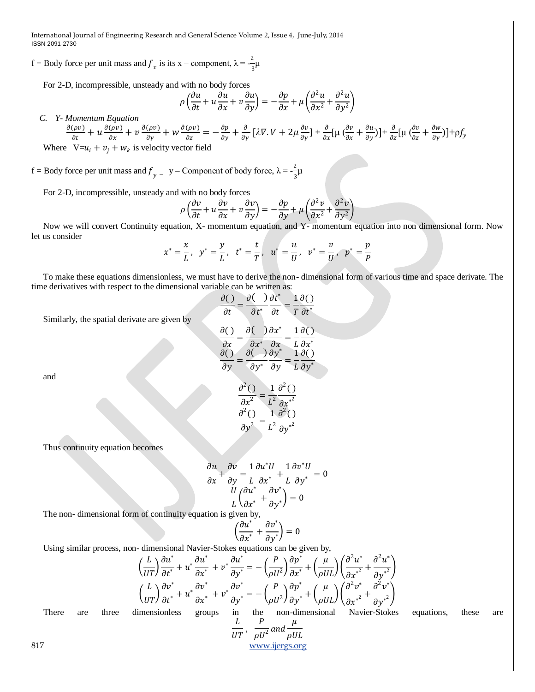f = Body force per unit mass and  $f_x$  is its x – component,  $\lambda = -\frac{2}{3}$  $\frac{2}{3}\mu$ 

For 2-D, incompressible, unsteady and with no body forces

$$
\rho \left( \frac{\partial u}{\partial t} + u \frac{\partial u}{\partial x} + v \frac{\partial u}{\partial y} \right) = -\frac{\partial p}{\partial x} + \mu \left( \frac{\partial^2 u}{\partial x^2} + \frac{\partial^2 u}{\partial y^2} \right)
$$

*C. Y- Momentum Equation*

$$
\frac{\partial(\rho v)}{\partial t} + u \frac{\partial(\rho v)}{\partial x} + v \frac{\partial(\rho v)}{\partial y} + w \frac{\partial(\rho v)}{\partial z} = -\frac{\partial p}{\partial y} + \frac{\partial}{\partial y} [\lambda \nabla \cdot V + 2\mu \frac{\partial v}{\partial y}] + \frac{\partial}{\partial x} [\mu (\frac{\partial v}{\partial x} + \frac{\partial u}{\partial y})] + \frac{\partial}{\partial z} [\mu (\frac{\partial v}{\partial z} + \frac{\partial w}{\partial y})] + \rho f_y
$$

Where  $V = u_i + v_j + w_k$  is velocity vector field

 $f = Body$  force per unit mass and  $f_{y=0} = y -$ Component of body force,  $\lambda = -\frac{2}{3}$  $\frac{2}{3}\mu$ 

For 2-D, incompressible, unsteady and with no body forces

$$
\rho \left( \frac{\partial v}{\partial t} + u \frac{\partial v}{\partial x} + v \frac{\partial v}{\partial y} \right) = -\frac{\partial p}{\partial y} + \mu \left( \frac{\partial^2 v}{\partial x^2} + \frac{\partial^2 v}{\partial y^2} \right)
$$

Now we will convert Continuity equation, X- momentum equation, and Y- momentum equation into non dimensional form. Now let us consider

$$
x^* = \frac{x}{L}
$$
,  $y^* = \frac{y}{L}$ ,  $t^* = \frac{t}{T}$ ,  $u^* = \frac{u}{U}$ ,  $v^* = \frac{v}{U}$ ,  $p^* = \frac{p}{p}$ 

To make these equations dimensionless, we must have to derive the non- dimensional form of various time and space derivate. The time derivatives with respect to the dimensional variable can be written as:

$$
\frac{\partial C}{\partial t} = \frac{\partial C}{\partial t^*} \frac{\partial t^*}{\partial t} = \frac{1}{T} \frac{\partial C}{\partial t^*}
$$

$$
\frac{\partial C}{\partial x} = \frac{\partial C}{\partial x^*} \frac{\partial x^*}{\partial x} = \frac{1}{L} \frac{\partial C}{\partial x^*}
$$

$$
\frac{\partial C}{\partial y} = \frac{\partial C}{\partial y^*} \frac{\partial y^*}{\partial y} = \frac{1}{L} \frac{\partial C}{\partial y^*}
$$

$$
\frac{\partial^2 C}{\partial x^2} = \frac{1}{L^2} \frac{\partial^2 C}{\partial x^{*2}}
$$

$$
\frac{\partial^2 C}{\partial y^2} = \frac{1}{L^2} \frac{\partial^2 C}{\partial y^{*2}}
$$

and

Thus continuity equation becomes

Similarly, the spatial derivate are given by

$$
\frac{\partial u}{\partial x} + \frac{\partial v}{\partial y} = \frac{1}{L} \frac{\partial u^* U}{\partial x^*} + \frac{1}{L} \frac{\partial v^* U}{\partial y^*} = 0
$$
  

$$
\frac{U}{L} \left( \frac{\partial u^*}{\partial x^*} + \frac{\partial v^*}{\partial y^*} \right) = 0
$$

The non- dimensional form of continuity equation is given by,

$$
\left(\frac{\partial u^*}{\partial x^*} + \frac{\partial v^*}{\partial y^*}\right) = 0
$$

Using similar process, non- dimensional Navier-Stokes equations can be given by,

$$
\left(\frac{L}{UT}\right)\frac{\partial u^*}{\partial t^*} + u^* \frac{\partial u^*}{\partial x^*} + v^* \frac{\partial u^*}{\partial y^*} = -\left(\frac{P}{\rho U^2}\right)\frac{\partial p^*}{\partial x^*} + \left(\frac{\mu}{\rho UL}\right)\left(\frac{\partial^2 u^*}{\partial x^*} + \frac{\partial^2 u^*}{\partial y^*}\right)
$$

$$
\left(\frac{L}{UT}\right)\frac{\partial v^*}{\partial t^*} + u^* \frac{\partial v^*}{\partial x^*} + v^* \frac{\partial v^*}{\partial y^*} = -\left(\frac{P}{\rho U^2}\right)\frac{\partial p^*}{\partial y^*} + \left(\frac{\mu}{\rho UL}\right)\left(\frac{\partial^2 v^*}{\partial x^*} + \frac{\partial^2 v^*}{\partial y^*}\right)
$$

There are three dimensionless groups in the non-dimensional Navier-Stokes equations, these are

$$
\frac{L}{UT}, \frac{P}{\rho U^2} \text{ and } \frac{\mu}{\rho UL}
$$
817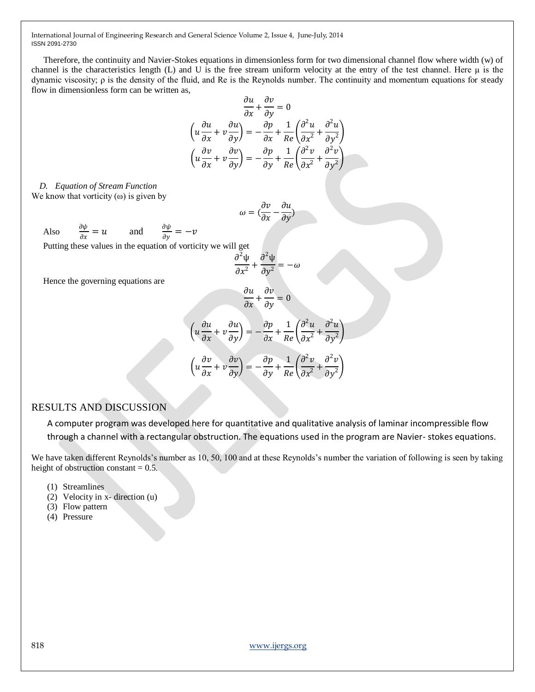Therefore, the continuity and Navier-Stokes equations in dimensionless form for two dimensional channel flow where width (w) of channel is the characteristics length (L) and U is the free stream uniform velocity at the entry of the test channel. Here μ is the dynamic viscosity; ρ is the density of the fluid, and Re is the Reynolds number. The continuity and momentum equations for steady flow in dimensionless form can be written as,

$$
\frac{\partial u}{\partial x} + \frac{\partial v}{\partial y} = 0
$$
  

$$
\left(u\frac{\partial u}{\partial x} + v\frac{\partial u}{\partial y}\right) = -\frac{\partial p}{\partial x} + \frac{1}{Re}\left(\frac{\partial^2 u}{\partial x^2} + \frac{\partial^2 u}{\partial y^2}\right)
$$
  

$$
\left(u\frac{\partial v}{\partial x} + v\frac{\partial v}{\partial y}\right) = -\frac{\partial p}{\partial y} + \frac{1}{Re}\left(\frac{\partial^2 v}{\partial x^2} + \frac{\partial^2 v}{\partial y^2}\right)
$$

*D. Equation of Stream Function* We know that vorticity  $(\omega)$  is given by

$$
\omega = (\frac{\partial v}{\partial x} - \frac{\partial u}{\partial y})
$$

Also  $\frac{\partial \psi}{\partial x} = u$ and  $rac{\partial \psi}{\partial y}$  $=-v$ 

Putting these values in the equation of vorticity we will get

$$
\frac{\partial^2 \psi}{\partial x^2} + \frac{\partial^2 \psi}{\partial y^2} = -\omega
$$

 $\partial u$ 

Hence the governing equations are

$$
\frac{\partial u}{\partial x} + \frac{\partial v}{\partial y} = 0
$$
  

$$
\left(u\frac{\partial u}{\partial x} + v\frac{\partial u}{\partial y}\right) = -\frac{\partial p}{\partial x} + \frac{1}{Re}\left(\frac{\partial^2 u}{\partial x^2} + \frac{\partial^2 u}{\partial y^2}\right)
$$
  

$$
\left(u\frac{\partial v}{\partial x} + v\frac{\partial v}{\partial y}\right) = -\frac{\partial p}{\partial y} + \frac{1}{Re}\left(\frac{\partial^2 v}{\partial x^2} + \frac{\partial^2 v}{\partial y^2}\right)
$$

# RESULTS AND DISCUSSION

A computer program was developed here for quantitative and qualitative analysis of laminar incompressible flow through a channel with a rectangular obstruction. The equations used in the program are Navier- stokes equations.

We have taken different Reynolds's number as 10, 50, 100 and at these Reynolds's number the variation of following is seen by taking height of obstruction constant  $= 0.5$ .

- (1) Streamlines
- (2) Velocity in x- direction (u)
- (3) Flow pattern
- (4) Pressure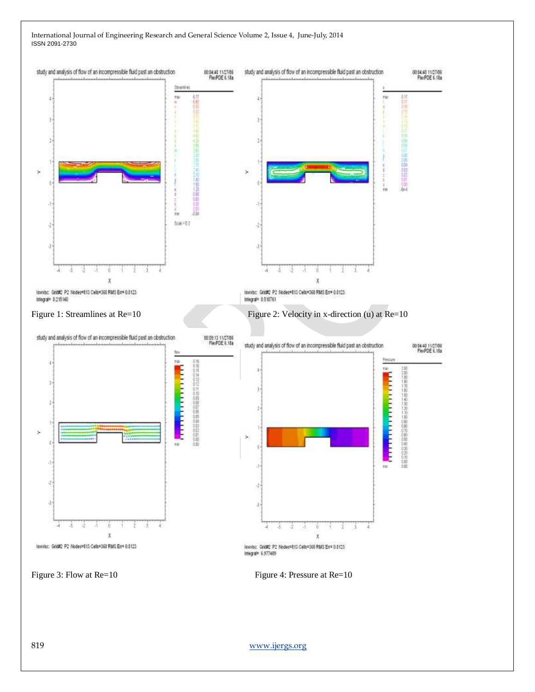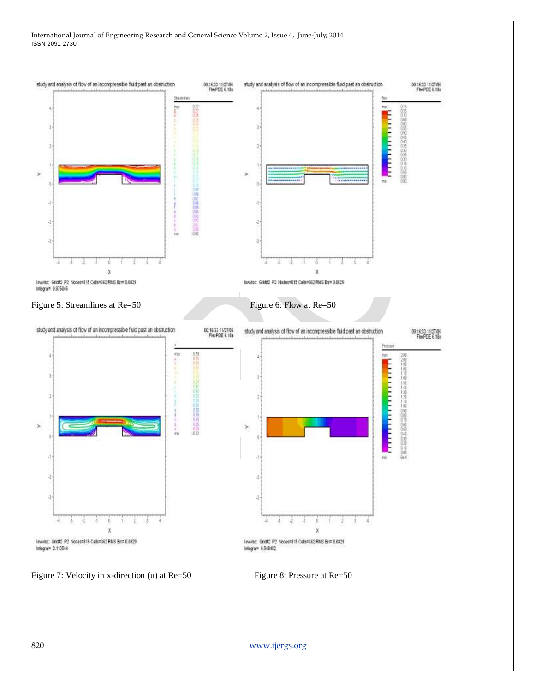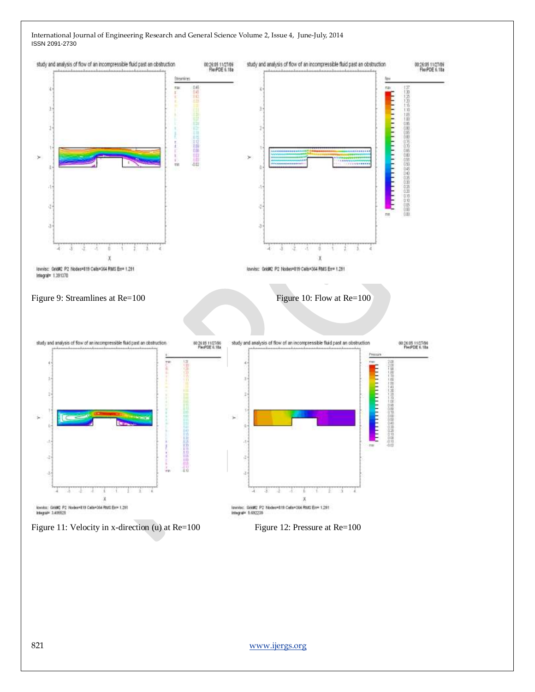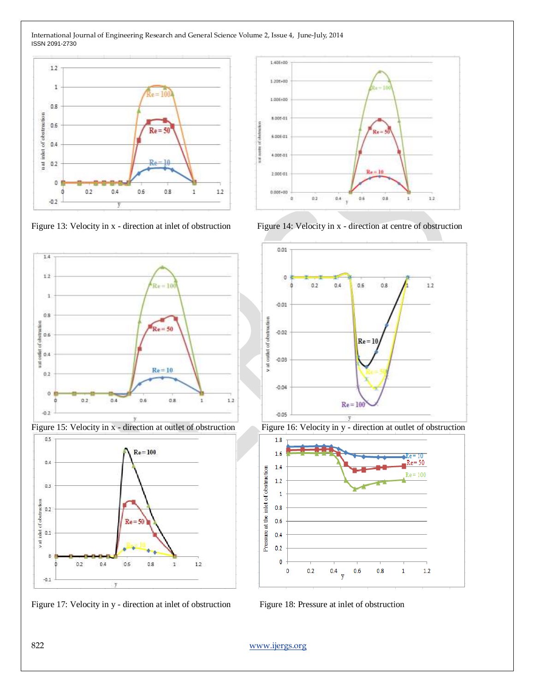





Figure 15: Velocity in x - direction at outlet of obstruction Figure 16: Velocity in y - direction at outlet of obstruction









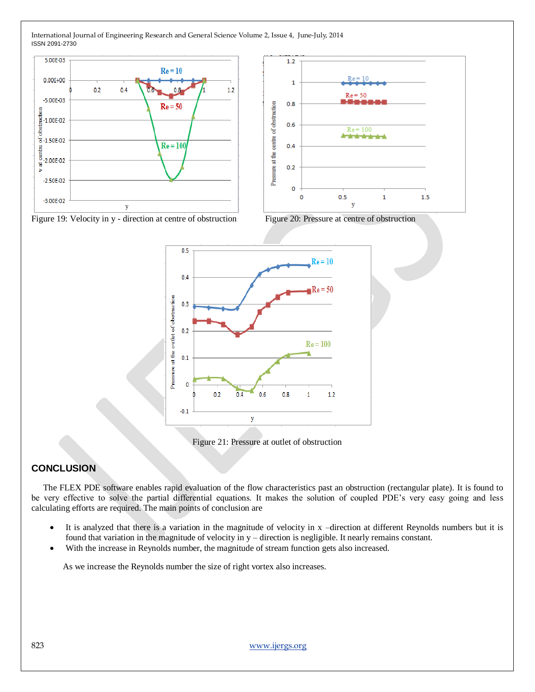



Figure 19: Velocity in y - direction at centre of obstruction Figure 20: Pressure at centre of obstruction







# **CONCLUSION**

The FLEX PDE software enables rapid evaluation of the flow characteristics past an obstruction (rectangular plate). It is found to be very effective to solve the partial differential equations. It makes the solution of coupled PDE's very easy going and less calculating efforts are required. The main points of conclusion are

- It is analyzed that there is a variation in the magnitude of velocity in x –direction at different Reynolds numbers but it is found that variation in the magnitude of velocity in y – direction is negligible. It nearly remains constant.
- With the increase in Reynolds number, the magnitude of stream function gets also increased.

As we increase the Reynolds number the size of right vortex also increases.